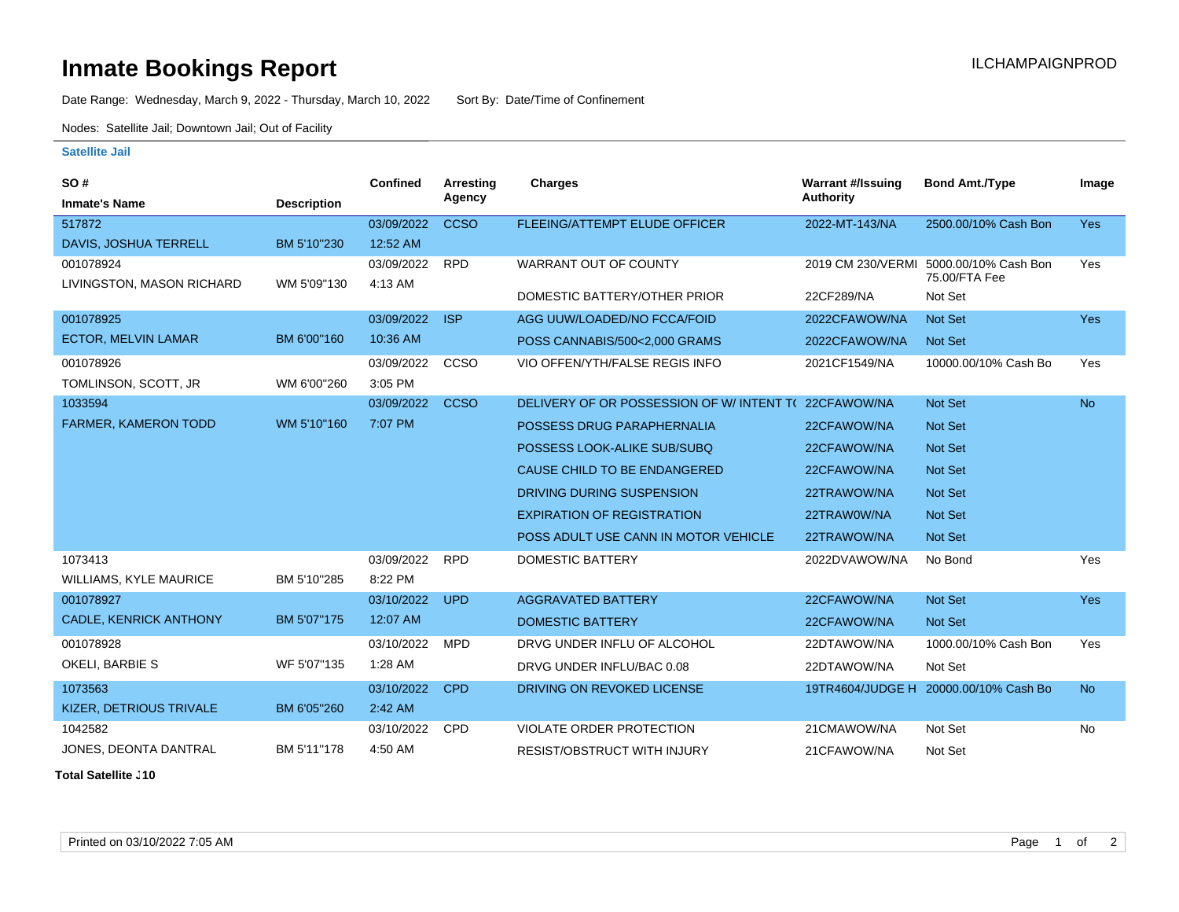## **Inmate Bookings Report Installation ILCHAMPAIGNPROD**

Date Range: Wednesday, March 9, 2022 - Thursday, March 10, 2022 Sort By: Date/Time of Confinement

Nodes: Satellite Jail; Downtown Jail; Out of Facility

## **Satellite Jail**

| SO#                           |                    | <b>Confined</b> | Arresting   | Charges                                             | <b>Warrant #/Issuing</b> | <b>Bond Amt./Type</b>                 | Image      |
|-------------------------------|--------------------|-----------------|-------------|-----------------------------------------------------|--------------------------|---------------------------------------|------------|
| <b>Inmate's Name</b>          | <b>Description</b> |                 | Agency      |                                                     | Authority                |                                       |            |
| 517872                        |                    | 03/09/2022      | <b>CCSO</b> | FLEEING/ATTEMPT ELUDE OFFICER                       | 2022-MT-143/NA           | 2500.00/10% Cash Bon                  | Yes        |
| <b>DAVIS, JOSHUA TERRELL</b>  | BM 5'10"230        | 12:52 AM        |             |                                                     |                          |                                       |            |
| 001078924                     |                    | 03/09/2022      | <b>RPD</b>  | WARRANT OUT OF COUNTY                               | 2019 CM 230/VERMI        | 5000.00/10% Cash Bon<br>75.00/FTA Fee | Yes        |
| LIVINGSTON, MASON RICHARD     | WM 5'09"130        | 4:13 AM         |             | DOMESTIC BATTERY/OTHER PRIOR                        | 22CF289/NA               | Not Set                               |            |
| 001078925                     |                    | 03/09/2022      | <b>ISP</b>  | AGG UUW/LOADED/NO FCCA/FOID                         | 2022CFAWOW/NA            | <b>Not Set</b>                        | <b>Yes</b> |
| <b>ECTOR, MELVIN LAMAR</b>    | BM 6'00"160        | 10:36 AM        |             | POSS CANNABIS/500<2,000 GRAMS                       | 2022CFAWOW/NA            | <b>Not Set</b>                        |            |
| 001078926                     |                    | 03/09/2022      | CCSO        | VIO OFFEN/YTH/FALSE REGIS INFO                      | 2021CF1549/NA            | 10000.00/10% Cash Bo                  | Yes        |
| TOMLINSON, SCOTT, JR          | WM 6'00"260        | 3:05 PM         |             |                                                     |                          |                                       |            |
| 1033594                       |                    | 03/09/2022      | <b>CCSO</b> | DELIVERY OF OR POSSESSION OF W/INTENT T(22CFAWOW/NA |                          | <b>Not Set</b>                        | <b>No</b>  |
| <b>FARMER, KAMERON TODD</b>   | WM 5'10"160        | 7:07 PM         |             | POSSESS DRUG PARAPHERNALIA                          | 22CFAWOW/NA              | <b>Not Set</b>                        |            |
|                               |                    |                 |             | POSSESS LOOK-ALIKE SUB/SUBQ                         | 22CFAWOW/NA              | <b>Not Set</b>                        |            |
|                               |                    |                 |             | CAUSE CHILD TO BE ENDANGERED                        | 22CFAWOW/NA              | <b>Not Set</b>                        |            |
|                               |                    |                 |             | DRIVING DURING SUSPENSION                           | 22TRAWOW/NA              | <b>Not Set</b>                        |            |
|                               |                    |                 |             | <b>EXPIRATION OF REGISTRATION</b>                   | 22TRAW0W/NA              | <b>Not Set</b>                        |            |
|                               |                    |                 |             | POSS ADULT USE CANN IN MOTOR VEHICLE                | 22TRAWOW/NA              | <b>Not Set</b>                        |            |
| 1073413                       |                    | 03/09/2022      | <b>RPD</b>  | <b>DOMESTIC BATTERY</b>                             | 2022DVAWOW/NA            | No Bond                               | Yes        |
| <b>WILLIAMS, KYLE MAURICE</b> | BM 5'10"285        | 8:22 PM         |             |                                                     |                          |                                       |            |
| 001078927                     |                    | 03/10/2022      | <b>UPD</b>  | <b>AGGRAVATED BATTERY</b>                           | 22CFAWOW/NA              | Not Set                               | <b>Yes</b> |
| <b>CADLE, KENRICK ANTHONY</b> | BM 5'07"175        | 12:07 AM        |             | <b>DOMESTIC BATTERY</b>                             | 22CFAWOW/NA              | <b>Not Set</b>                        |            |
| 001078928                     |                    | 03/10/2022      | <b>MPD</b>  | DRVG UNDER INFLU OF ALCOHOL                         | 22DTAWOW/NA              | 1000.00/10% Cash Bon                  | Yes        |
| OKELI, BARBIE S               | WF 5'07"135        | 1:28 AM         |             | DRVG UNDER INFLU/BAC 0.08                           | 22DTAWOW/NA              | Not Set                               |            |
| 1073563                       |                    | 03/10/2022      | <b>CPD</b>  | DRIVING ON REVOKED LICENSE                          |                          | 19TR4604/JUDGE H 20000.00/10% Cash Bo | <b>No</b>  |
| KIZER, DETRIOUS TRIVALE       | BM 6'05"260        | 2:42 AM         |             |                                                     |                          |                                       |            |
| 1042582                       |                    | 03/10/2022      | <b>CPD</b>  | VIOLATE ORDER PROTECTION                            | 21CMAWOW/NA              | Not Set                               | No         |
| JONES, DEONTA DANTRAL         | BM 5'11"178        | 4:50 AM         |             | <b>RESIST/OBSTRUCT WITH INJURY</b>                  | 21CFAWOW/NA              | Not Set                               |            |

**Total Satellite J10**